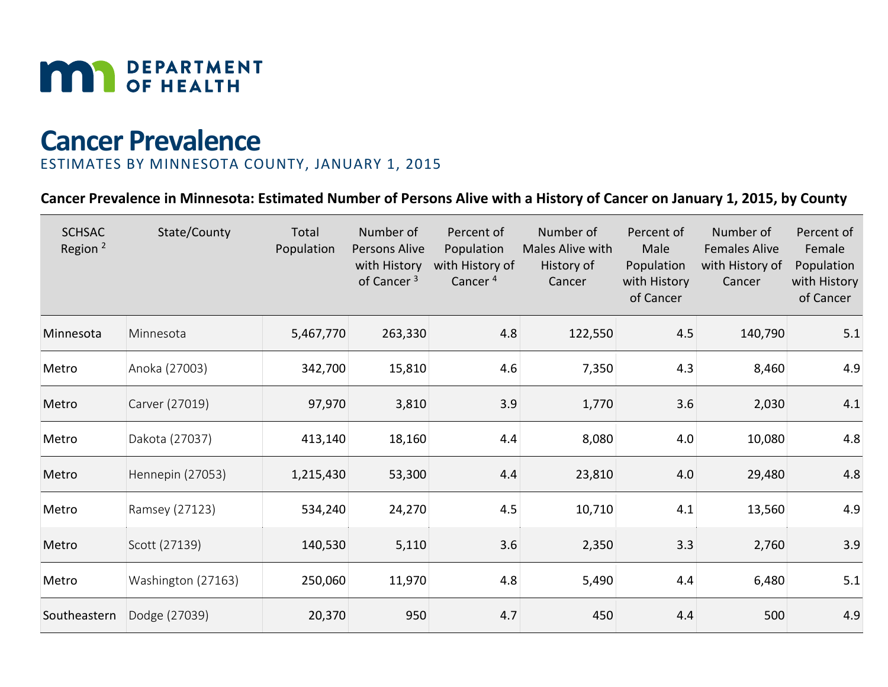

# **Cancer Prevalence**

# ESTIMATES BY MINNESOTA COUNTY, JANUARY 1, 2015

# **Cancer Prevalence in Minnesota: Estimated Number of Persons Alive with a History of Cancer on January 1, 2015, by County**

| <b>SCHSAC</b><br>Region <sup>2</sup> | State/County       | Total<br>Population | Number of<br>Persons Alive<br>with History<br>of Cancer <sup>3</sup> | Percent of<br>Population<br>with History of<br>Cancer <sup>4</sup> | Number of<br>Males Alive with<br>History of<br>Cancer | Percent of<br>Male<br>Population<br>with History<br>of Cancer | Number of<br><b>Females Alive</b><br>with History of<br>Cancer | Percent of<br>Female<br>Population<br>with History<br>of Cancer |
|--------------------------------------|--------------------|---------------------|----------------------------------------------------------------------|--------------------------------------------------------------------|-------------------------------------------------------|---------------------------------------------------------------|----------------------------------------------------------------|-----------------------------------------------------------------|
| Minnesota                            | Minnesota          | 5,467,770           | 263,330                                                              | 4.8                                                                | 122,550                                               | 4.5                                                           | 140,790                                                        | 5.1                                                             |
| Metro                                | Anoka (27003)      | 342,700             | 15,810                                                               | 4.6                                                                | 7,350                                                 | 4.3                                                           | 8,460                                                          | 4.9                                                             |
| Metro                                | Carver (27019)     | 97,970              | 3,810                                                                | 3.9                                                                | 1,770                                                 | 3.6                                                           | 2,030                                                          | 4.1                                                             |
| Metro                                | Dakota (27037)     | 413,140             | 18,160                                                               | 4.4                                                                | 8,080                                                 | 4.0                                                           | 10,080                                                         | 4.8                                                             |
| Metro                                | Hennepin (27053)   | 1,215,430           | 53,300                                                               | 4.4                                                                | 23,810                                                | 4.0                                                           | 29,480                                                         | 4.8                                                             |
| Metro                                | Ramsey (27123)     | 534,240             | 24,270                                                               | 4.5                                                                | 10,710                                                | 4.1                                                           | 13,560                                                         | 4.9                                                             |
| Metro                                | Scott (27139)      | 140,530             | 5,110                                                                | 3.6                                                                | 2,350                                                 | 3.3                                                           | 2,760                                                          | 3.9                                                             |
| Metro                                | Washington (27163) | 250,060             | 11,970                                                               | 4.8                                                                | 5,490                                                 | 4.4                                                           | 6,480                                                          | 5.1                                                             |
| Southeastern                         | Dodge (27039)      | 20,370              | 950                                                                  | 4.7                                                                | 450                                                   | 4.4                                                           | 500                                                            | 4.9                                                             |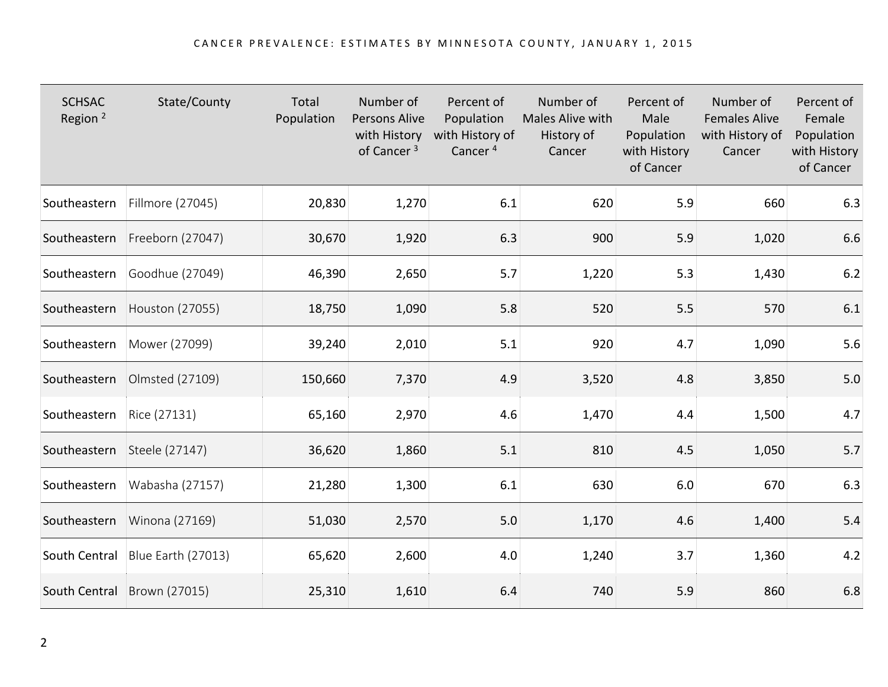| <b>SCHSAC</b><br>Region <sup>2</sup> | State/County                | Total<br>Population | Number of<br>Persons Alive<br>with History<br>of Cancer <sup>3</sup> | Percent of<br>Population<br>with History of<br>Cancer <sup>4</sup> | Number of<br>Males Alive with<br>History of<br>Cancer | Percent of<br>Male<br>Population<br>with History<br>of Cancer | Number of<br><b>Females Alive</b><br>with History of<br>Cancer | Percent of<br>Female<br>Population<br>with History<br>of Cancer |
|--------------------------------------|-----------------------------|---------------------|----------------------------------------------------------------------|--------------------------------------------------------------------|-------------------------------------------------------|---------------------------------------------------------------|----------------------------------------------------------------|-----------------------------------------------------------------|
| Southeastern                         | Fillmore (27045)            | 20,830              | 1,270                                                                | 6.1                                                                | 620                                                   | 5.9                                                           | 660                                                            | 6.3                                                             |
| Southeastern                         | Freeborn (27047)            | 30,670              | 1,920                                                                | 6.3                                                                | 900                                                   | 5.9                                                           | 1,020                                                          | 6.6                                                             |
| Southeastern                         | Goodhue (27049)             | 46,390              | 2,650                                                                | 5.7                                                                | 1,220                                                 | 5.3                                                           | 1,430                                                          | 6.2                                                             |
| Southeastern                         | Houston (27055)             | 18,750              | 1,090                                                                | 5.8                                                                | 520                                                   | 5.5                                                           | 570                                                            | 6.1                                                             |
| Southeastern                         | Mower (27099)               | 39,240              | 2,010                                                                | 5.1                                                                | 920                                                   | 4.7                                                           | 1,090                                                          | $5.6\,$                                                         |
| Southeastern                         | Olmsted (27109)             | 150,660             | 7,370                                                                | 4.9                                                                | 3,520                                                 | 4.8                                                           | 3,850                                                          | $5.0$                                                           |
| Southeastern                         | Rice (27131)                | 65,160              | 2,970                                                                | 4.6                                                                | 1,470                                                 | 4.4                                                           | 1,500                                                          | 4.7                                                             |
| Southeastern                         | Steele (27147)              | 36,620              | 1,860                                                                | 5.1                                                                | 810                                                   | 4.5                                                           | 1,050                                                          | 5.7                                                             |
| Southeastern                         | Wabasha (27157)             | 21,280              | 1,300                                                                | 6.1                                                                | 630                                                   | 6.0                                                           | 670                                                            | $6.3$                                                           |
| Southeastern                         | Winona (27169)              | 51,030              | 2,570                                                                | 5.0                                                                | 1,170                                                 | 4.6                                                           | 1,400                                                          | 5.4                                                             |
| South Central                        | Blue Earth (27013)          | 65,620              | 2,600                                                                | 4.0                                                                | 1,240                                                 | 3.7                                                           | 1,360                                                          | 4.2                                                             |
|                                      | South Central Brown (27015) | 25,310              | 1,610                                                                | 6.4                                                                | 740                                                   | 5.9                                                           | 860                                                            | 6.8                                                             |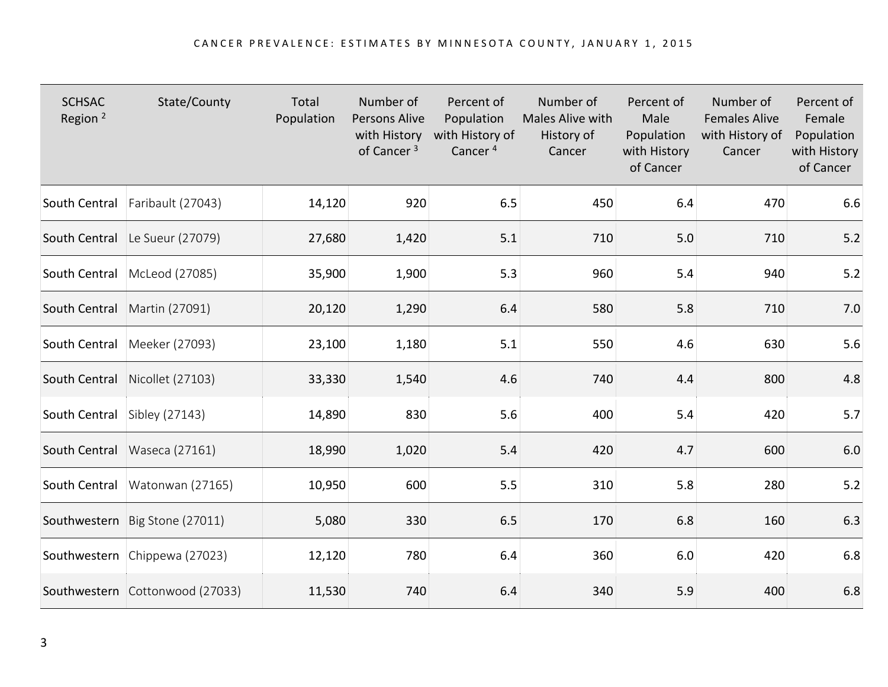| <b>SCHSAC</b><br>Region <sup>2</sup> | State/County                     | Total<br>Population | Number of<br><b>Persons Alive</b><br>with History<br>of Cancer <sup>3</sup> | Percent of<br>Population<br>with History of<br>Cancer <sup>4</sup> | Number of<br>Males Alive with<br>History of<br>Cancer | Percent of<br>Male<br>Population<br>with History<br>of Cancer | Number of<br><b>Females Alive</b><br>with History of<br>Cancer | Percent of<br>Female<br>Population<br>with History<br>of Cancer |
|--------------------------------------|----------------------------------|---------------------|-----------------------------------------------------------------------------|--------------------------------------------------------------------|-------------------------------------------------------|---------------------------------------------------------------|----------------------------------------------------------------|-----------------------------------------------------------------|
| South Central                        | Faribault (27043)                | 14,120              | 920                                                                         | 6.5                                                                | 450                                                   | 6.4                                                           | 470                                                            | 6.6                                                             |
| South Central                        | Le Sueur (27079)                 | 27,680              | 1,420                                                                       | 5.1                                                                | 710                                                   | 5.0                                                           | 710                                                            | 5.2                                                             |
| South Central                        | McLeod (27085)                   | 35,900              | 1,900                                                                       | 5.3                                                                | 960                                                   | 5.4                                                           | 940                                                            | $5.2$                                                           |
| South Central                        | Martin (27091)                   | 20,120              | 1,290                                                                       | 6.4                                                                | 580                                                   | 5.8                                                           | 710                                                            | $7.0\,$                                                         |
| South Central                        | Meeker (27093)                   | 23,100              | 1,180                                                                       | 5.1                                                                | 550                                                   | 4.6                                                           | 630                                                            | 5.6                                                             |
| South Central                        | Nicollet (27103)                 | 33,330              | 1,540                                                                       | 4.6                                                                | 740                                                   | 4.4                                                           | 800                                                            | 4.8                                                             |
| South Central Sibley (27143)         |                                  | 14,890              | 830                                                                         | 5.6                                                                | 400                                                   | 5.4                                                           | 420                                                            | 5.7                                                             |
|                                      | South Central   Waseca (27161)   | 18,990              | 1,020                                                                       | 5.4                                                                | 420                                                   | 4.7                                                           | 600                                                            | $6.0\,$                                                         |
|                                      | South Central   Watonwan (27165) | 10,950              | 600                                                                         | 5.5                                                                | 310                                                   | 5.8                                                           | 280                                                            | $5.2$                                                           |
|                                      | Southwestern Big Stone (27011)   | 5,080               | 330                                                                         | 6.5                                                                | 170                                                   | 6.8                                                           | 160                                                            | 6.3                                                             |
|                                      | Southwestern Chippewa (27023)    | 12,120              | 780                                                                         | 6.4                                                                | 360                                                   | 6.0                                                           | 420                                                            | $6.8\,$                                                         |
|                                      | Southwestern Cottonwood (27033)  | 11,530              | 740                                                                         | 6.4                                                                | 340                                                   | 5.9                                                           | 400                                                            | 6.8                                                             |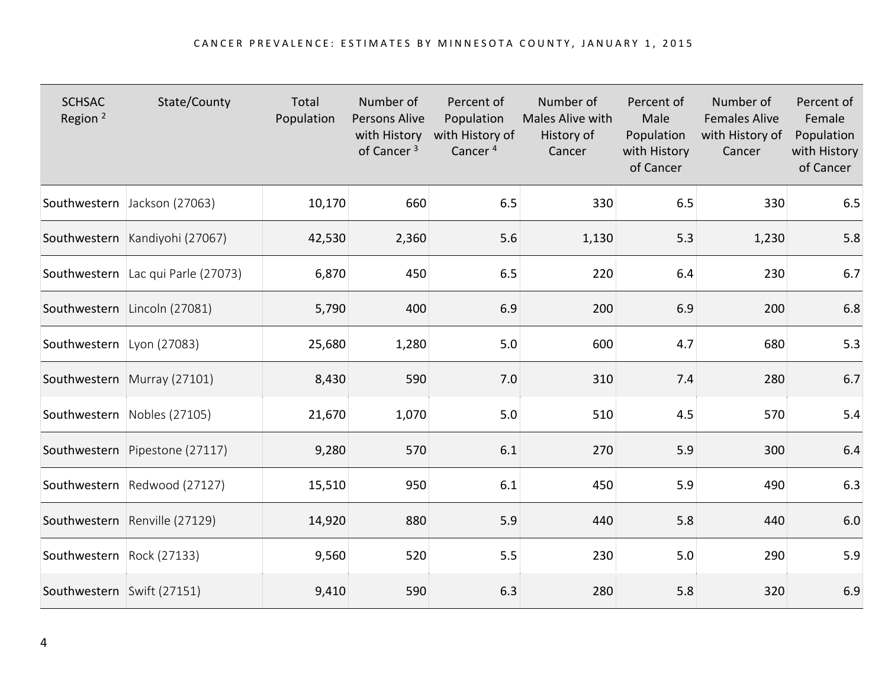| <b>SCHSAC</b><br>Region <sup>2</sup> | State/County                       | Total<br>Population | Number of<br><b>Persons Alive</b><br>with History<br>of Cancer <sup>3</sup> | Percent of<br>Population<br>with History of<br>Cancer <sup>4</sup> | Number of<br>Males Alive with<br>History of<br>Cancer | Percent of<br>Male<br>Population<br>with History<br>of Cancer | Number of<br><b>Females Alive</b><br>with History of<br>Cancer | Percent of<br>Female<br>Population<br>with History<br>of Cancer |
|--------------------------------------|------------------------------------|---------------------|-----------------------------------------------------------------------------|--------------------------------------------------------------------|-------------------------------------------------------|---------------------------------------------------------------|----------------------------------------------------------------|-----------------------------------------------------------------|
|                                      | Southwestern Jackson (27063)       | 10,170              | 660                                                                         | 6.5                                                                | 330                                                   | 6.5                                                           | 330                                                            | 6.5                                                             |
|                                      | Southwestern Kandiyohi (27067)     | 42,530              | 2,360                                                                       | 5.6                                                                | 1,130                                                 | 5.3                                                           | 1,230                                                          | $5.8\,$                                                         |
|                                      | Southwestern Lac qui Parle (27073) | 6,870               | 450                                                                         | 6.5                                                                | 220                                                   | 6.4                                                           | 230                                                            | 6.7                                                             |
|                                      | Southwestern Lincoln (27081)       | 5,790               | 400                                                                         | 6.9                                                                | 200                                                   | 6.9                                                           | 200                                                            | 6.8                                                             |
| Southwestern Lyon (27083)            |                                    | 25,680              | 1,280                                                                       | 5.0                                                                | 600                                                   | 4.7                                                           | 680                                                            | 5.3                                                             |
|                                      | Southwestern Murray (27101)        | 8,430               | 590                                                                         | 7.0                                                                | 310                                                   | 7.4                                                           | 280                                                            | 6.7                                                             |
|                                      | Southwestern Nobles (27105)        | 21,670              | 1,070                                                                       | 5.0                                                                | 510                                                   | 4.5                                                           | 570                                                            | 5.4                                                             |
|                                      | Southwestern Pipestone (27117)     | 9,280               | 570                                                                         | 6.1                                                                | 270                                                   | 5.9                                                           | 300                                                            | $6.4\,$                                                         |
|                                      | Southwestern Redwood (27127)       | 15,510              | 950                                                                         | 6.1                                                                | 450                                                   | 5.9                                                           | 490                                                            | $6.3$                                                           |
|                                      | Southwestern Renville (27129)      | 14,920              | 880                                                                         | 5.9                                                                | 440                                                   | 5.8                                                           | 440                                                            | 6.0                                                             |
| Southwestern Rock (27133)            |                                    | 9,560               | 520                                                                         | 5.5                                                                | 230                                                   | 5.0                                                           | 290                                                            | 5.9                                                             |
| Southwestern Swift (27151)           |                                    | 9,410               | 590                                                                         | 6.3                                                                | 280                                                   | 5.8                                                           | 320                                                            | 6.9                                                             |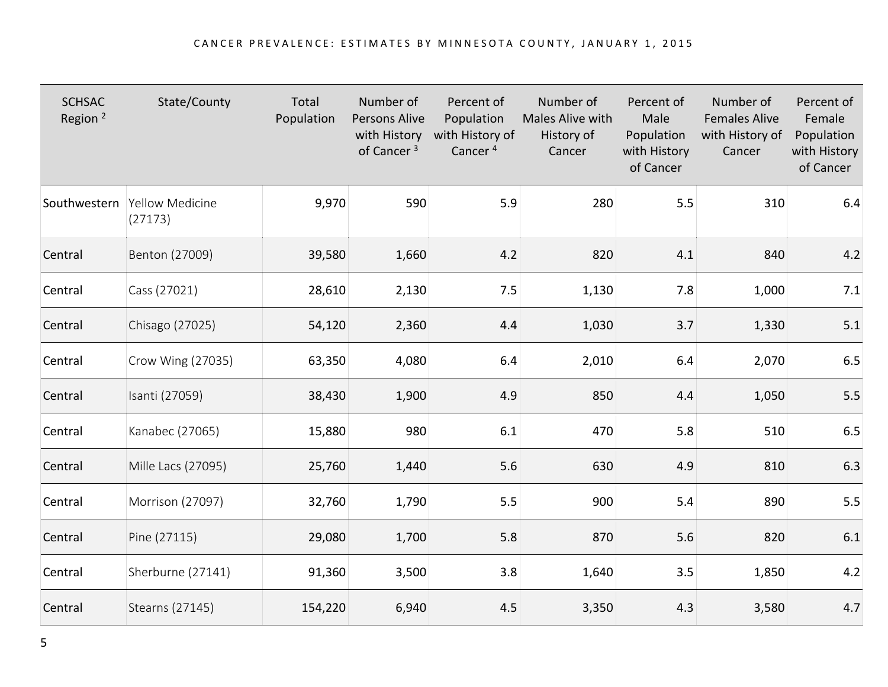| <b>SCHSAC</b><br>Region <sup>2</sup> | State/County                            | Total<br>Population | Number of<br><b>Persons Alive</b><br>with History<br>of Cancer <sup>3</sup> | Percent of<br>Population<br>with History of<br>Cancer <sup>4</sup> | Number of<br>Males Alive with<br>History of<br>Cancer | Percent of<br>Male<br>Population<br>with History<br>of Cancer | Number of<br><b>Females Alive</b><br>with History of<br>Cancer | Percent of<br>Female<br>Population<br>with History<br>of Cancer |
|--------------------------------------|-----------------------------------------|---------------------|-----------------------------------------------------------------------------|--------------------------------------------------------------------|-------------------------------------------------------|---------------------------------------------------------------|----------------------------------------------------------------|-----------------------------------------------------------------|
|                                      | Southwestern Yellow Medicine<br>(27173) | 9,970               | 590                                                                         | 5.9                                                                | 280                                                   | 5.5                                                           | 310                                                            | 6.4                                                             |
| Central                              | Benton (27009)                          | 39,580              | 1,660                                                                       | 4.2                                                                | 820                                                   | 4.1                                                           | 840                                                            | 4.2                                                             |
| Central                              | Cass (27021)                            | 28,610              | 2,130                                                                       | 7.5                                                                | 1,130                                                 | 7.8                                                           | 1,000                                                          | $7.1$                                                           |
| Central                              | Chisago (27025)                         | 54,120              | 2,360                                                                       | 4.4                                                                | 1,030                                                 | 3.7                                                           | 1,330                                                          | 5.1                                                             |
| Central                              | Crow Wing (27035)                       | 63,350              | 4,080                                                                       | 6.4                                                                | 2,010                                                 | 6.4                                                           | 2,070                                                          | $6.5\,$                                                         |
| Central                              | Isanti (27059)                          | 38,430              | 1,900                                                                       | 4.9                                                                | 850                                                   | 4.4                                                           | 1,050                                                          | $5.5\,$                                                         |
| Central                              | Kanabec (27065)                         | 15,880              | 980                                                                         | 6.1                                                                | 470                                                   | 5.8                                                           | 510                                                            | $6.5\,$                                                         |
| Central                              | Mille Lacs (27095)                      | 25,760              | 1,440                                                                       | 5.6                                                                | 630                                                   | 4.9                                                           | 810                                                            | 6.3                                                             |
| Central                              | Morrison (27097)                        | 32,760              | 1,790                                                                       | 5.5                                                                | 900                                                   | 5.4                                                           | 890                                                            | $5.5\,$                                                         |
| Central                              | Pine (27115)                            | 29,080              | 1,700                                                                       | 5.8                                                                | 870                                                   | 5.6                                                           | 820                                                            | $6.1\,$                                                         |
| Central                              | Sherburne (27141)                       | 91,360              | 3,500                                                                       | 3.8                                                                | 1,640                                                 | 3.5                                                           | 1,850                                                          | 4.2                                                             |
| Central                              | Stearns (27145)                         | 154,220             | 6,940                                                                       | 4.5                                                                | 3,350                                                 | 4.3                                                           | 3,580                                                          | 4.7                                                             |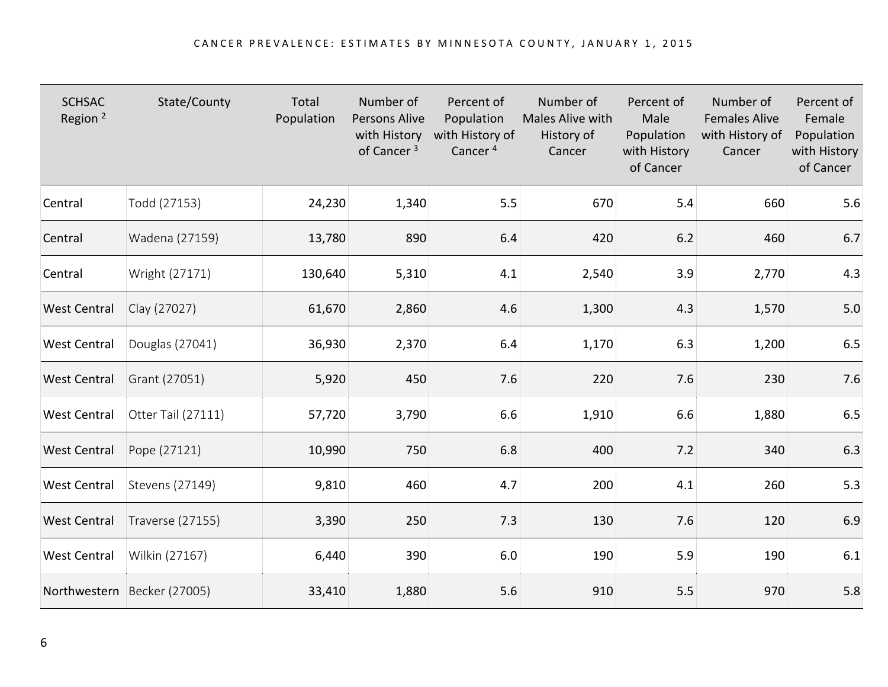| <b>SCHSAC</b><br>Region <sup>2</sup> | State/County                | Total<br>Population | Number of<br>Persons Alive<br>with History<br>of Cancer <sup>3</sup> | Percent of<br>Population<br>with History of<br>Cancer <sup>4</sup> | Number of<br>Males Alive with<br>History of<br>Cancer | Percent of<br>Male<br>Population<br>with History<br>of Cancer | Number of<br><b>Females Alive</b><br>with History of<br>Cancer | Percent of<br>Female<br>Population<br>with History<br>of Cancer |
|--------------------------------------|-----------------------------|---------------------|----------------------------------------------------------------------|--------------------------------------------------------------------|-------------------------------------------------------|---------------------------------------------------------------|----------------------------------------------------------------|-----------------------------------------------------------------|
| Central                              | Todd (27153)                | 24,230              | 1,340                                                                | 5.5                                                                | 670                                                   | 5.4                                                           | 660                                                            | 5.6                                                             |
| Central                              | Wadena (27159)              | 13,780              | 890                                                                  | 6.4                                                                | 420                                                   | 6.2                                                           | 460                                                            | 6.7                                                             |
| Central                              | Wright (27171)              | 130,640             | 5,310                                                                | 4.1                                                                | 2,540                                                 | 3.9                                                           | 2,770                                                          | 4.3                                                             |
| <b>West Central</b>                  | Clay (27027)                | 61,670              | 2,860                                                                | 4.6                                                                | 1,300                                                 | 4.3                                                           | 1,570                                                          | 5.0                                                             |
| <b>West Central</b>                  | Douglas (27041)             | 36,930              | 2,370                                                                | 6.4                                                                | 1,170                                                 | 6.3                                                           | 1,200                                                          | $6.5\,$                                                         |
| <b>West Central</b>                  | Grant (27051)               | 5,920               | 450                                                                  | 7.6                                                                | 220                                                   | 7.6                                                           | 230                                                            | $7.6$                                                           |
| <b>West Central</b>                  | Otter Tail (27111)          | 57,720              | 3,790                                                                | 6.6                                                                | 1,910                                                 | 6.6                                                           | 1,880                                                          | $6.5\,$                                                         |
| <b>West Central</b>                  | Pope (27121)                | 10,990              | 750                                                                  | 6.8                                                                | 400                                                   | 7.2                                                           | 340                                                            | $6.3$                                                           |
| <b>West Central</b>                  | Stevens (27149)             | 9,810               | 460                                                                  | 4.7                                                                | 200                                                   | 4.1                                                           | 260                                                            | 5.3                                                             |
| <b>West Central</b>                  | <b>Traverse (27155)</b>     | 3,390               | 250                                                                  | 7.3                                                                | 130                                                   | 7.6                                                           | 120                                                            | 6.9                                                             |
| <b>West Central</b>                  | Wilkin (27167)              | 6,440               | 390                                                                  | 6.0                                                                | 190                                                   | 5.9                                                           | 190                                                            | 6.1                                                             |
|                                      | Northwestern Becker (27005) | 33,410              | 1,880                                                                | 5.6                                                                | 910                                                   | 5.5                                                           | 970                                                            | 5.8                                                             |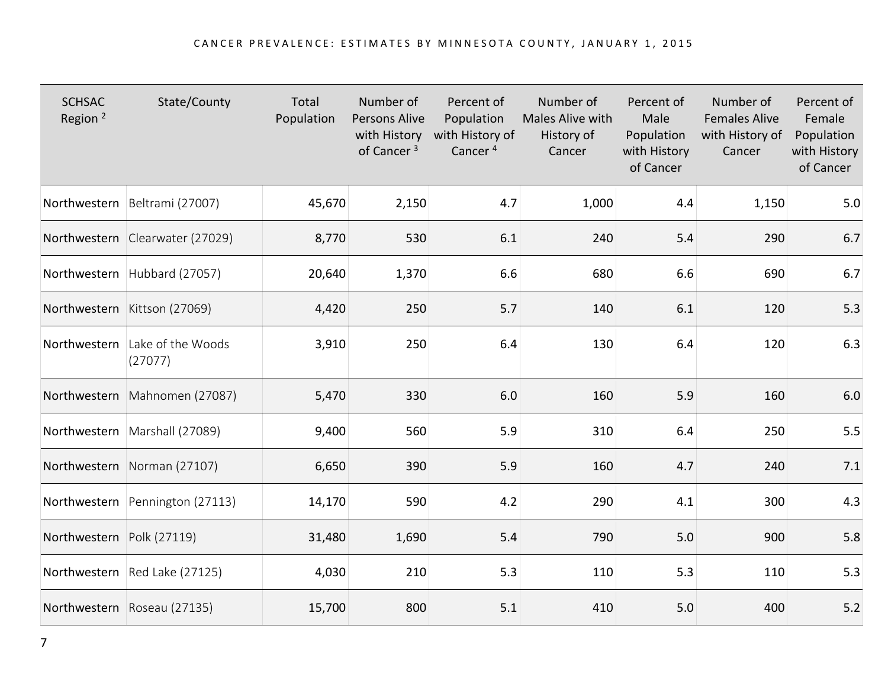| <b>SCHSAC</b><br>Region <sup>2</sup> | State/County                              | Total<br>Population | Number of<br><b>Persons Alive</b><br>with History<br>of Cancer <sup>3</sup> | Percent of<br>Population<br>with History of<br>Cancer <sup>4</sup> | Number of<br>Males Alive with<br>History of<br>Cancer | Percent of<br>Male<br>Population<br>with History<br>of Cancer | Number of<br><b>Females Alive</b><br>with History of<br>Cancer | Percent of<br>Female<br>Population<br>with History<br>of Cancer |
|--------------------------------------|-------------------------------------------|---------------------|-----------------------------------------------------------------------------|--------------------------------------------------------------------|-------------------------------------------------------|---------------------------------------------------------------|----------------------------------------------------------------|-----------------------------------------------------------------|
|                                      | Northwestern Beltrami (27007)             | 45,670              | 2,150                                                                       | 4.7                                                                | 1,000                                                 | 4.4                                                           | 1,150                                                          | 5.0                                                             |
|                                      | Northwestern Clearwater (27029)           | 8,770               | 530                                                                         | 6.1                                                                | 240                                                   | 5.4                                                           | 290                                                            | 6.7                                                             |
|                                      | Northwestern Hubbard (27057)              | 20,640              | 1,370                                                                       | 6.6                                                                | 680                                                   | 6.6                                                           | 690                                                            | 6.7                                                             |
|                                      | Northwestern Kittson (27069)              | 4,420               | 250                                                                         | 5.7                                                                | 140                                                   | 6.1                                                           | 120                                                            | 5.3                                                             |
|                                      | Northwestern Lake of the Woods<br>(27077) | 3,910               | 250                                                                         | 6.4                                                                | 130                                                   | 6.4                                                           | 120                                                            | 6.3                                                             |
|                                      | Northwestern Mahnomen (27087)             | 5,470               | 330                                                                         | 6.0                                                                | 160                                                   | 5.9                                                           | 160                                                            | $6.0\,$                                                         |
|                                      | Northwestern Marshall (27089)             | 9,400               | 560                                                                         | 5.9                                                                | 310                                                   | 6.4                                                           | 250                                                            | 5.5                                                             |
|                                      | Northwestern Norman (27107)               | 6,650               | 390                                                                         | 5.9                                                                | 160                                                   | 4.7                                                           | 240                                                            | 7.1                                                             |
|                                      | Northwestern Pennington (27113)           | 14,170              | 590                                                                         | 4.2                                                                | 290                                                   | 4.1                                                           | 300                                                            | 4.3                                                             |
| Northwestern Polk (27119)            |                                           | 31,480              | 1,690                                                                       | 5.4                                                                | 790                                                   | 5.0                                                           | 900                                                            | 5.8                                                             |
|                                      | Northwestern Red Lake (27125)             | 4,030               | 210                                                                         | 5.3                                                                | 110                                                   | 5.3                                                           | 110                                                            | 5.3                                                             |
|                                      | Northwestern Roseau (27135)               | 15,700              | 800                                                                         | 5.1                                                                | 410                                                   | 5.0                                                           | 400                                                            | $5.2$                                                           |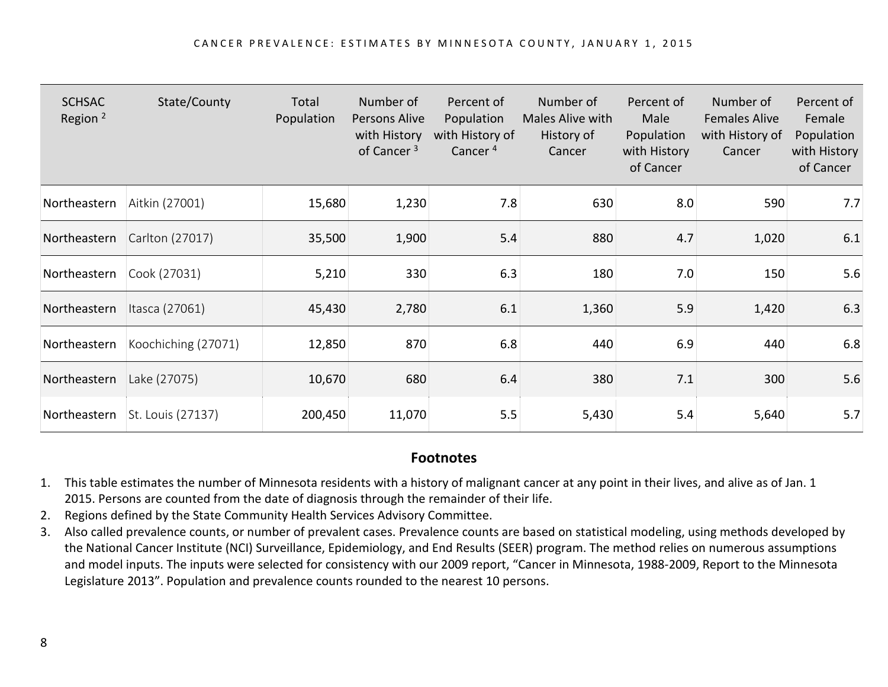| <b>SCHSAC</b><br>Region <sup>2</sup> | State/County        | Total<br>Population | Number of<br>Persons Alive<br>with History<br>of Cancer <sup>3</sup> | Percent of<br>Population<br>with History of<br>Cancer <sup>4</sup> | Number of<br>Males Alive with<br>History of<br>Cancer | Percent of<br>Male<br>Population<br>with History<br>of Cancer | Number of<br><b>Females Alive</b><br>with History of<br>Cancer | Percent of<br>Female<br>Population<br>with History<br>of Cancer |
|--------------------------------------|---------------------|---------------------|----------------------------------------------------------------------|--------------------------------------------------------------------|-------------------------------------------------------|---------------------------------------------------------------|----------------------------------------------------------------|-----------------------------------------------------------------|
| Northeastern                         | Aitkin (27001)      | 15,680              | 1,230                                                                | 7.8                                                                | 630                                                   | 8.0                                                           | 590                                                            | 7.7                                                             |
| Northeastern                         | Carlton (27017)     | 35,500              | 1,900                                                                | 5.4                                                                | 880                                                   | 4.7                                                           | 1,020                                                          | 6.1                                                             |
| Northeastern                         | Cook (27031)        | 5,210               | 330                                                                  | 6.3                                                                | 180                                                   | 7.0                                                           | 150                                                            | 5.6                                                             |
| Northeastern                         | Itasca (27061)      | 45,430              | 2,780                                                                | 6.1                                                                | 1,360                                                 | 5.9                                                           | 1,420                                                          | 6.3                                                             |
| Northeastern                         | Koochiching (27071) | 12,850              | 870                                                                  | 6.8                                                                | 440                                                   | 6.9                                                           | 440                                                            | 6.8                                                             |
| Northeastern                         | Lake (27075)        | 10,670              | 680                                                                  | 6.4                                                                | 380                                                   | 7.1                                                           | 300                                                            | 5.6                                                             |
| Northeastern                         | St. Louis (27137)   | 200,450             | 11,070                                                               | 5.5                                                                | 5,430                                                 | 5.4                                                           | 5,640                                                          | 5.7                                                             |

## **Footnotes**

- 1. This table estimates the number of Minnesota residents with a history of malignant cancer at any point in their lives, and alive as of Jan. 1 2015. Persons are counted from the date of diagnosis through the remainder of their life.
- 2. Regions defined by the State Community Health Services Advisory Committee.
- 3. Also called prevalence counts, or number of prevalent cases. Prevalence counts are based on statistical modeling, using methods developed by the National Cancer Institute (NCI) Surveillance, Epidemiology, and End Results (SEER) program. The method relies on numerous assumptions and model inputs. The inputs were selected for consistency with our 2009 report, "Cancer in Minnesota, 1988-2009, Report to the Minnesota Legislature 2013". Population and prevalence counts rounded to the nearest 10 persons.